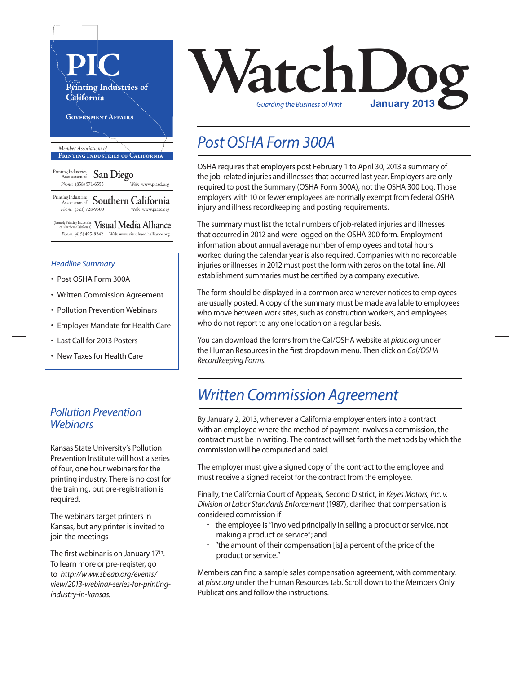

- Post OSHA Form 300A
- Written Commission Agreement
- Pollution Prevention Webinars
- Employer Mandate for Health Care
- Last Call for 2013 Posters
- New Taxes for Health Care

### *Pollution Prevention Webinars*

Kansas State University's Pollution Prevention Institute will host a series of four, one hour webinars for the printing industry. There is no cost for the training, but pre-registration is required.

The webinars target printers in Kansas, but any printer is invited to join the meetings

The first webinar is on January 17<sup>th</sup>. To learn more or pre-register, go to *http://www.sbeap.org/events/ view/2013-webinar-series-for-printingindustry-in-kansas.*



### *Post OSHA Form 300A*

OSHA requires that employers post February 1 to April 30, 2013 a summary of the job-related injuries and illnesses that occurred last year. Employers are only required to post the Summary (OSHA Form 300A), not the OSHA 300 Log. Those employers with 10 or fewer employees are normally exempt from federal OSHA injury and illness recordkeeping and posting requirements.

The summary must list the total numbers of job-related injuries and illnesses that occurred in 2012 and were logged on the OSHA 300 form. Employment information about annual average number of employees and total hours worked during the calendar year is also required. Companies with no recordable injuries or illnesses in 2012 must post the form with zeros on the total line. All establishment summaries must be certified by a company executive.

The form should be displayed in a common area wherever notices to employees are usually posted. A copy of the summary must be made available to employees who move between work sites, such as construction workers, and employees who do not report to any one location on a regular basis.

You can download the forms from the Cal/OSHA website at *piasc.org* under the Human Resources in the first dropdown menu. Then click on *Cal/OSHA Recordkeeping Forms*.

### *Written Commission Agreement*

By January 2, 2013, whenever a California employer entersinto a contract with an employee where the method of payment involves a commission, the contract must be in writing. The contract will set forth the methods by which the commission will be computed and paid.

The employer must give a signed copy of the contract to the employee and must receive a signed receipt for the contract from the employee.

Finally, the California Court of Appeals, Second District, in *Keyes Motors, Inc. v. Division of Labor Standards Enforcement* (1987), clarified that compensation is considered commission if

- the employee is "involved principally in selling a product or service, not making a product or service"; and
- "the amount of their compensation [is] a percent of the price of the product or service."

Members can find a sample sales compensation agreement, with commentary, at *piasc.org* under the Human Resourcestab. Scroll down to the Members Only Publications and follow the instructions.